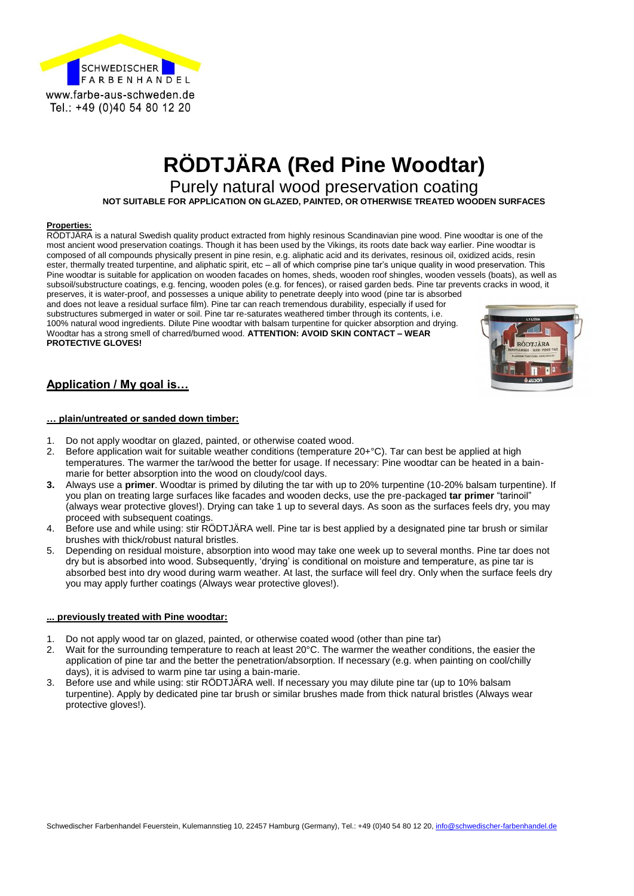

# **RÖDTJÄRA (Red Pine Woodtar)**

Purely natural wood preservation coating

**NOT SUITABLE FOR APPLICATION ON GLAZED, PAINTED, OR OTHERWISE TREATED WOODEN SURFACES**

#### **Properties:**

RÖDTJÄRA is a natural Swedish quality product extracted from highly resinous Scandinavian pine wood. Pine woodtar is one of the most ancient wood preservation coatings. Though it has been used by the Vikings, its roots date back way earlier. Pine woodtar is composed of all compounds physically present in pine resin, e.g. aliphatic acid and its derivates, resinous oil, oxidized acids, resin ester, thermally treated turpentine, and aliphatic spirit, etc – all of which comprise pine tar's unique quality in wood preservation. This Pine woodtar is suitable for application on wooden facades on homes, sheds, wooden roof shingles, wooden vessels (boats), as well as subsoil/substructure coatings, e.g. fencing, wooden poles (e.g. for fences), or raised garden beds. Pine tar prevents cracks in wood, it preserves, it is water-proof, and possesses a unique ability to penetrate deeply into wood (pine tar is absorbed and does not leave a residual surface film). Pine tar can reach tremendous durability, especially if used for

substructures submerged in water or soil. Pine tar re-saturates weathered timber through its contents, i.e. 100% natural wood ingredients. Dilute Pine woodtar with balsam turpentine for quicker absorption and drying. Woodtar has a strong smell of charred/burned wood. **ATTENTION: AVOID SKIN CONTACT – WEAR PROTECTIVE GLOVES!**



### **Application / My goal is…**

#### **… plain/untreated or sanded down timber:**

- 1. Do not apply woodtar on glazed, painted, or otherwise coated wood.
- 2. Before application wait for suitable weather conditions (temperature 20+°C). Tar can best be applied at high temperatures. The warmer the tar/wood the better for usage. If necessary: Pine woodtar can be heated in a bainmarie for better absorption into the wood on cloudy/cool days.
- **3.** Always use a **primer**. Woodtar is primed by diluting the tar with up to 20% turpentine (10-20% balsam turpentine). If you plan on treating large surfaces like facades and wooden decks, use the pre-packaged **tar primer** "tarinoil" (always wear protective gloves!). Drying can take 1 up to several days. As soon as the surfaces feels dry, you may proceed with subsequent coatings.
- 4. Before use and while using: stir RÖDTJÄRA well. Pine tar is best applied by a designated pine tar brush or similar brushes with thick/robust natural bristles.
- 5. Depending on residual moisture, absorption into wood may take one week up to several months. Pine tar does not dry but is absorbed into wood. Subsequently, 'drying' is conditional on moisture and temperature, as pine tar is absorbed best into dry wood during warm weather. At last, the surface will feel dry. Only when the surface feels dry you may apply further coatings (Always wear protective gloves!).

### **... previously treated with Pine woodtar:**

- 1. Do not apply wood tar on glazed, painted, or otherwise coated wood (other than pine tar)
- 2. Wait for the surrounding temperature to reach at least 20°C. The warmer the weather conditions, the easier the application of pine tar and the better the penetration/absorption. If necessary (e.g. when painting on cool/chilly days), it is advised to warm pine tar using a bain-marie.
- 3. Before use and while using: stir RÖDTJÄRA well. If necessary you may dilute pine tar (up to 10% balsam turpentine). Apply by dedicated pine tar brush or similar brushes made from thick natural bristles (Always wear protective gloves!).